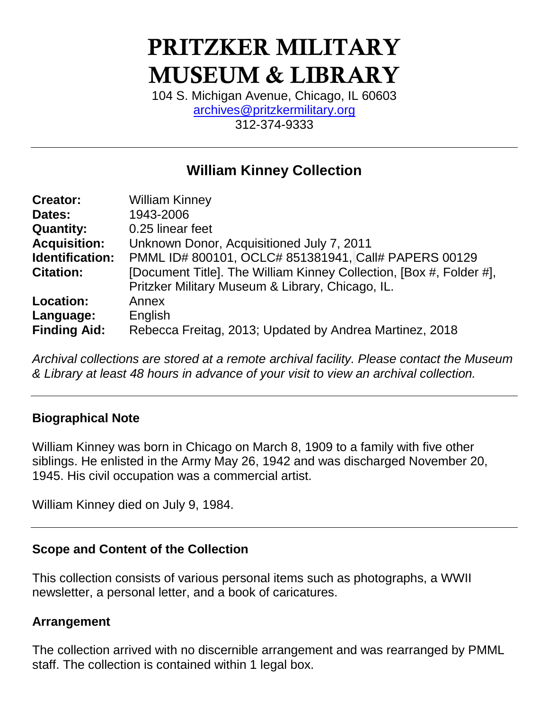# PRITZKER MILITARY MUSEUM & LIBRARY

104 S. Michigan Avenue, Chicago, IL 60603 [archives@pritzkermilitary.org](mailto:archives@pritzkermilitary.org) 312-374-9333

## **William Kinney Collection**

| <b>Creator:</b>        | <b>William Kinney</b>                                               |
|------------------------|---------------------------------------------------------------------|
| Dates:                 | 1943-2006                                                           |
| <b>Quantity:</b>       | 0.25 linear feet                                                    |
| <b>Acquisition:</b>    | Unknown Donor, Acquisitioned July 7, 2011                           |
| <b>Identification:</b> | PMML ID# 800101, OCLC# 851381941, Call# PAPERS 00129                |
| <b>Citation:</b>       | [Document Title]. The William Kinney Collection, [Box #, Folder #], |
|                        | Pritzker Military Museum & Library, Chicago, IL.                    |
| <b>Location:</b>       | Annex                                                               |
| Language:              | English                                                             |
| <b>Finding Aid:</b>    | Rebecca Freitag, 2013; Updated by Andrea Martinez, 2018             |

*Archival collections are stored at a remote archival facility. Please contact the Museum & Library at least 48 hours in advance of your visit to view an archival collection.*

## **Biographical Note**

William Kinney was born in Chicago on March 8, 1909 to a family with five other siblings. He enlisted in the Army May 26, 1942 and was discharged November 20, 1945. His civil occupation was a commercial artist.

William Kinney died on July 9, 1984.

## **Scope and Content of the Collection**

This collection consists of various personal items such as photographs, a WWII newsletter, a personal letter, and a book of caricatures.

#### **Arrangement**

The collection arrived with no discernible arrangement and was rearranged by PMML staff. The collection is contained within 1 legal box.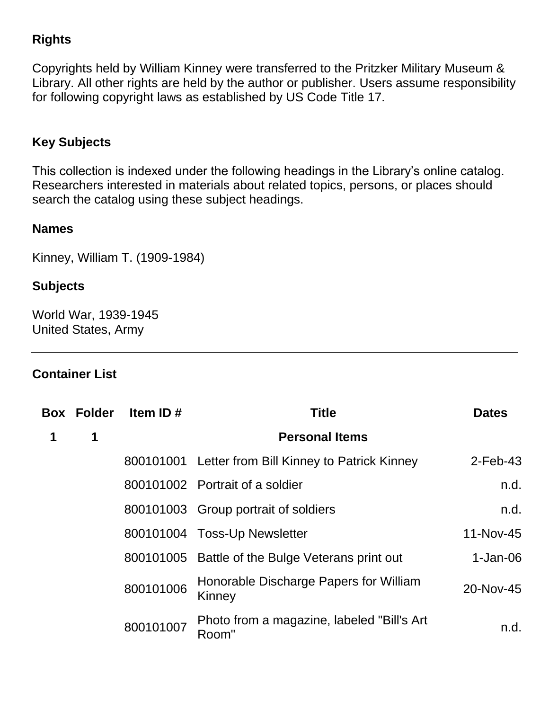## **Rights**

Copyrights held by William Kinney were transferred to the Pritzker Military Museum & Library. All other rights are held by the author or publisher. Users assume responsibility for following copyright laws as established by US Code Title 17.

## **Key Subjects**

This collection is indexed under the following headings in the Library's online catalog. Researchers interested in materials about related topics, persons, or places should search the catalog using these subject headings.

#### **Names**

Kinney, William T. (1909-1984)

#### **Subjects**

World War, 1939-1945 United States, Army

## **Container List**

| <b>Box Folder</b> | Item ID#  | <b>Title</b>                                        | <b>Dates</b> |  |
|-------------------|-----------|-----------------------------------------------------|--------------|--|
| 1                 |           | <b>Personal Items</b>                               |              |  |
|                   |           | 800101001 Letter from Bill Kinney to Patrick Kinney | $2$ -Feb-43  |  |
|                   |           | 800101002 Portrait of a soldier                     | n.d.         |  |
|                   |           | 800101003 Group portrait of soldiers                | n.d.         |  |
|                   |           | 800101004 Toss-Up Newsletter                        | 11-Nov-45    |  |
|                   |           | 800101005 Battle of the Bulge Veterans print out    | $1-Jan-06$   |  |
|                   | 800101006 | Honorable Discharge Papers for William<br>Kinney    | 20-Nov-45    |  |
|                   | 800101007 | Photo from a magazine, labeled "Bill's Art<br>Room" | n.d.         |  |